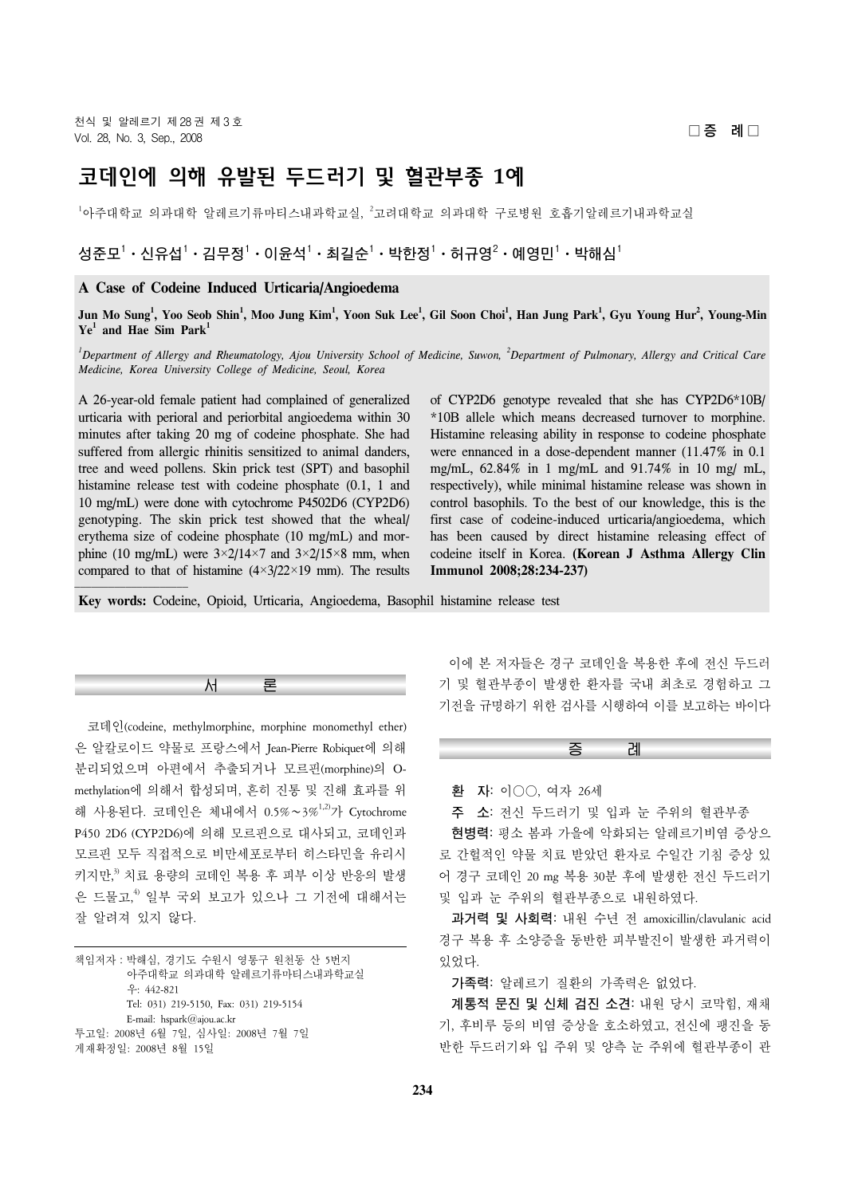# 코데인에 의해 유발된 두드러기 및 혈관부종 **1**예

 $^{\text{1}}$ 아주대학과 암레르기류마티스내과학교실,  $^{\text{2}}$ 고려대학교 의과대학 구로병원 호흡기알레르기내과학교실

# $\mathbf{A} = \mathbf{A}^{-1} \cdot \mathbf{A}^{-1}$  - 이윤석 $^1 \cdot \mathbf{A}^{-1}$  - 박한정 $^1 \cdot \mathbf{A}^{-1}$  - 예영민 $^1 \cdot \mathbf{A}^{-1}$

## **A Case of Codeine Induced Urticaria/Angioedema**

 $\bf{J}$ un Mo Sung<sup>1</sup>, Yoo Seob Shin<sup>1</sup>, Moo Jung Kim<sup>1</sup>, Yoon Suk Lee<sup>1</sup>, Gil Soon Choi<sup>1</sup>, Han Jung Park<sup>1</sup>, Gyu Young Hur<sup>2</sup>, Young-Min  $Ye^{1}$  and Hae Sim  $Park^{1}$ 

<sup>*1</sup>* Department of Allergy and Rheumatology, Ajou University School of Medicine, Suwon, <sup>2</sup> Department of Pulmonary, Allergy and Critical Care</sup> *Medicine, Korea University College of Medicine, Seoul, Korea*

A 26-year-old female patient had complained of generalized urticaria with perioral and periorbital angioedema within 30 minutes after taking 20 mg of codeine phosphate. She had suffered from allergic rhinitis sensitized to animal danders, tree and weed pollens. Skin prick test (SPT) and basophil histamine release test with codeine phosphate (0.1, 1 and 10 mg/mL) were done with cytochrome P4502D6 (CYP2D6) genotyping. The skin prick test showed that the wheal/ erythema size of codeine phosphate (10 mg/mL) and morphine (10 mg/mL) were  $3 \times 2/14 \times 7$  and  $3 \times 2/15 \times 8$  mm, when compared to that of histamine  $(4\times3/22\times19$  mm). The results

of CYP2D6 genotype revealed that she has CYP2D6\*10B/ \*10B allele which means decreased turnover to morphine. Histamine releasing ability in response to codeine phosphate were ennanced in a dose-dependent manner (11.47% in 0.1 mg/mL, 62.84% in 1 mg/mL and 91.74% in 10 mg/ mL, respectively), while minimal histamine release was shown in control basophils. To the best of our knowledge, this is the first case of codeine-induced urticaria/angioedema, which has been caused by direct histamine releasing effect of codeine itself in Korea. **(Korean J Asthma Allergy Clin Immunol 2008;28:234-237)**

**Key words:** Codeine, Opioid, Urticaria, Angioedema, Basophil histamine release test

서 론

 코데인(codeine, methylmorphine, morphine monomethyl ether) 은 알칼로이드 약물로 프랑스에서 Jean-Pierre Robiquet에 의해 분리되었으며 아편에서 추출되거나 모르핀(morphine)의 Omethylation에 의해서 합성되며, 흔히 진통 및 진해 효과를 위 해 사용된다. 코데인은 체내에서 0.5%∼3%1,2)가 Cytochrome P450 2D6 (CYP2D6)에 의해 모르핀으로 대사되고, 코데인과 모르핀 모두 직접적으로 비만세포로부터 히스타민을 유리시 키지만, 3) 치료 용량의 코데인 복용 후 피부 이상 반응의 발생 은 드물고, 4) 일부 국외 보고가 있으나 그 기전에 대해서는 잘 알려져 있지 않다.

책임저자:박해심, 경기도 수원시 영통구 원천동 산 5번지 아주대학교 의과대학 알레르기류마티스내과학교실 우: 442-821 Tel: 031) 219-5150, Fax: 031) 219-5154 E-mail: hspark@ajou.ac.kr 투고일: 2008년 6월 7일, 심사일: 2008년 7월 7일 게재확정일: 2008년 8월 15일

 이에 본 저자들은 경구 코데인을 복용한 후에 전신 두드러 기 및 혈관부종이 발생한 환자를 국내 최초로 경험하고 그 기전을 규명하기 위한 검사를 시행하여 이를 보고하는 바이다

증 례



**주 소:** 전신 두드러기 및 입과 눈 주위의 혈관부종

 **현병력:** 평소 봄과 가을에 악화되는 알레르기비염 증상으 로 간헐적인 약물 치료 받았던 환자로 수일간 기침 증상 있 어 경구 코데인 20 mg 복용 30분 후에 발생한 전신 두드러기 및 입과 눈 주위의 혈관부종으로 내원하였다.

 **과거력 및 사회력:** 내원 수년 전 amoxicillin/clavulanic acid 경구 복용 후 소양증을 동반한 피부발진이 발생한 과거력이 있었다.

**가족력:** 알레르기 질환의 가족력은 없었다.

 **계통적 문진 및 신체 검진 소견:** 내원 당시 코막힘, 재채 기, 후비루 등의 비염 증상을 호소하였고, 전신에 팽진을 동 반한 두드러기와 입 주위 및 양측 눈 주위에 혈관부종이 관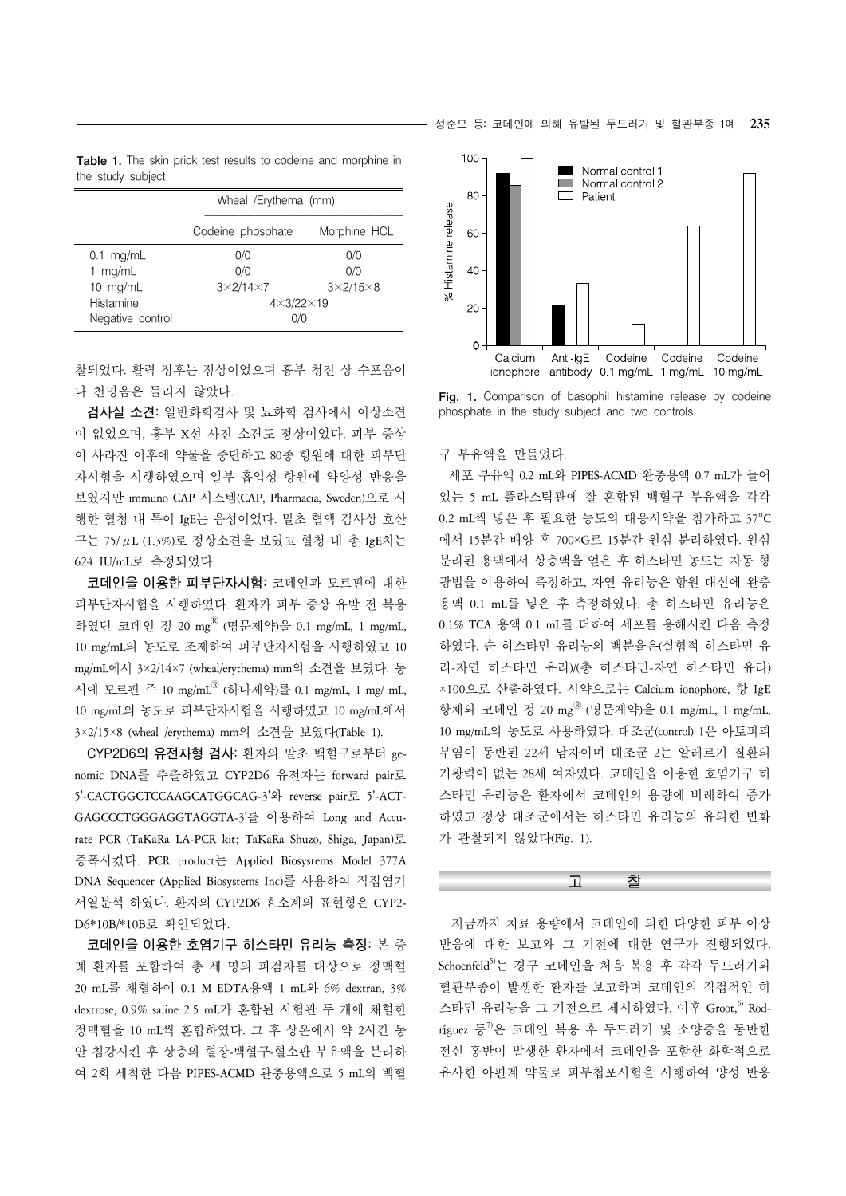| 성준모 등: 코데인에 의해 유발된 두드러기 및 혈관부종 1예 <b>235</b> |  |
|----------------------------------------------|--|
|----------------------------------------------|--|

|                   |  |  |  | <b>Table 1.</b> The skin prick test results to codeine and morphine in |  |
|-------------------|--|--|--|------------------------------------------------------------------------|--|
| the study subject |  |  |  |                                                                        |  |

|                  | Wheal /Erythema (mm)  |                      |  |  |  |
|------------------|-----------------------|----------------------|--|--|--|
|                  | Codeine phosphate     | Morphine HCL         |  |  |  |
| $0.1$ mg/mL      | 0/0                   | 0/0                  |  |  |  |
| 1 $mq/mL$        | 0/0                   | 0/0                  |  |  |  |
| 10 $mq/mL$       | $3\times2/14\times7$  | $3\times2/15\times8$ |  |  |  |
| Histamine        | $4\times3/22\times19$ |                      |  |  |  |
| Negative control | 0/0                   |                      |  |  |  |

찰되었다. 활력 징후는 정상이었으며 흉부 청진 상 수포음이 나 천명음은 들리지 않았다.

 **검사실 소견:** 일반화학검사 및 뇨화학 검사에서 이상소견 이 없었으며, 흉부 X선 사진 소견도 정상이었다. 피부 증상 이 사라진 이후에 약물을 중단하고 80종 항원에 대한 피부단 자시험을 시행하였으며 일부 흡입성 항원에 약양성 반응을 보였지만 immuno CAP 시스템(CAP, Pharmacia, Sweden)으로 시 행한 혈청 내 특이 IgE는 음성이었다. 말초 혈액 검사상 호산 구는 75/μL (1.3%)로 정상소견을 보였고 혈청 내 총 IgE치는 624 IU/mL로 측정되었다.

 **코데인을 이용한 피부단자시험:** 코데인과 모르핀에 대한 피부단자시험을 시행하였다. 환자가 피부 증상 유발 전 복용 하였던 코데인 정 20 mg® (명문제약)을 0.1 mg/mL, 1 mg/mL, 10 mg/mL의 농도로 조제하여 피부단자시험을 시행하였고 10 mg/mL에서 3×2/14×7 (wheal/erythema) mm의 소견을 보였다. 동 시에 모르핀 주 10 mg/mLⓇ (하나제약)를 0.1 mg/mL, 1 mg/ mL, 10 mg/mL의 농도로 피부단자시험을 시행하였고 10 mg/mL에서 3×2/15×8 (wheal /erythema) mm의 소견을 보였다(Table 1).

 **CYP2D6의 유전자형 검사:** 환자의 말초 백혈구로부터 genomic DNA를 추출하였고 CYP2D6 유전자는 forward pair로 5'-CACTGGCTCCAAGCATGGCAG-3'와 reverse pair로 5'-ACT-GAGCCCTGGGAGGTAGGTA-3'를 이용하여 Long and Accurate PCR (TaKaRa LA-PCR kit; TaKaRa Shuzo, Shiga, Japan)로 증폭시켰다. PCR product는 Applied Biosystems Model 377A DNA Sequencer (Applied Biosystems Inc)를 사용하여 직접염기 서열분석 하였다. 환자의 CYP2D6 효소계의 표현형은 CYP2- D6\*10B/\*10B로 확인되었다.

 **코데인을 이용한 호염기구 히스타민 유리능 측정:** 본 증 례 환자를 포함하여 총 세 명의 피검자를 대상으로 정맥혈 20 mL를 채혈하여 0.1 M EDTA용액 1 mL와 6% dextran, 3% dextrose, 0.9% saline 2.5 mL가 혼합된 시험관 두 개에 채혈한 정맥혈을 10 mL씩 혼합하였다. 그 후 상온에서 약 2시간 동 안 침강시킨 후 상층의 혈장-백혈구-혈소판 부유액을 분리하 여 2회 세척한 다음 PIPES-ACMD 완충용액으로 5 mL의 백혈



Fig. 1. Comparison of basophil histamine release by codeine phosphate in the study subject and two controls.

#### 구 부유액을 만들었다.

 세포 부유액 0.2 mL와 PIPES-ACMD 완충용액 0.7 mL가 들어 있는 5 mL 플라스틱관에 잘 혼합된 백혈구 부유액을 각각 0.2 mL씩 넣은 후 필요한 농도의 대응시약을 첨가하고 37°C 에서 15분간 배양 후 700×G로 15분간 원심 분리하였다. 원심 분리된 용액에서 상층액을 얻은 후 히스타민 농도는 자동 형 광법을 이용하여 측정하고, 자연 유리능은 항원 대신에 완충 용액 0.1 mL를 넣은 후 측정하였다. 총 히스타민 유리능은 0.1% TCA 용액 0.1 mL를 더하여 세포를 용해시킨 다음 측정 하였다. 순 히스타민 유리능의 백분율은(실험적 히스타민 유 리-자연 히스타민 유리)/(총 히스타민-자연 히스타민 유리) ×100으로 산출하였다. 시약으로는 Calcium ionophore, 항 IgE 항체와 코데인 정 20 mg® (명문제약)을 0.1 mg/mL, 1 mg/mL, 10 mg/mL의 농도로 사용하였다. 대조군(control) 1은 아토피피 부염이 동반된 22세 남자이며 대조군 2는 알레르기 질환의 기왕력이 없는 28세 여자였다. 코데인을 이용한 호염기구 히 스타민 유리능은 환자에서 코데인의 용량에 비례하여 증가 하였고 정상 대조군에서는 히스타민 유리능의 유의한 변화 가 관찰되지 않았다(Fig. 1).

### 고 찰

 지금까지 치료 용량에서 코데인에 의한 다양한 피부 이상 반응에 대한 보고와 그 기전에 대한 연구가 진행되었다.  $Schoenfeld$ <sup>5)</sup>는 경구 코데인을 처음 복용 후 각각 두드러기와 혈관부종이 발생한 환자를 보고하며 코데인의 직접적인 히 스타민 유리능을 그 기전으로 제시하였다. 이후 Groot, <sup>6)</sup> Rod $r$ íguez 등 $v$ 은 코데인 복용 후 두드러기 및 소양증을 동반한 전신 홍반이 발생한 환자에서 코데인을 포함한 화학적으로 유사한 아편계 약물로 피부첩포시험을 시행하여 양성 반응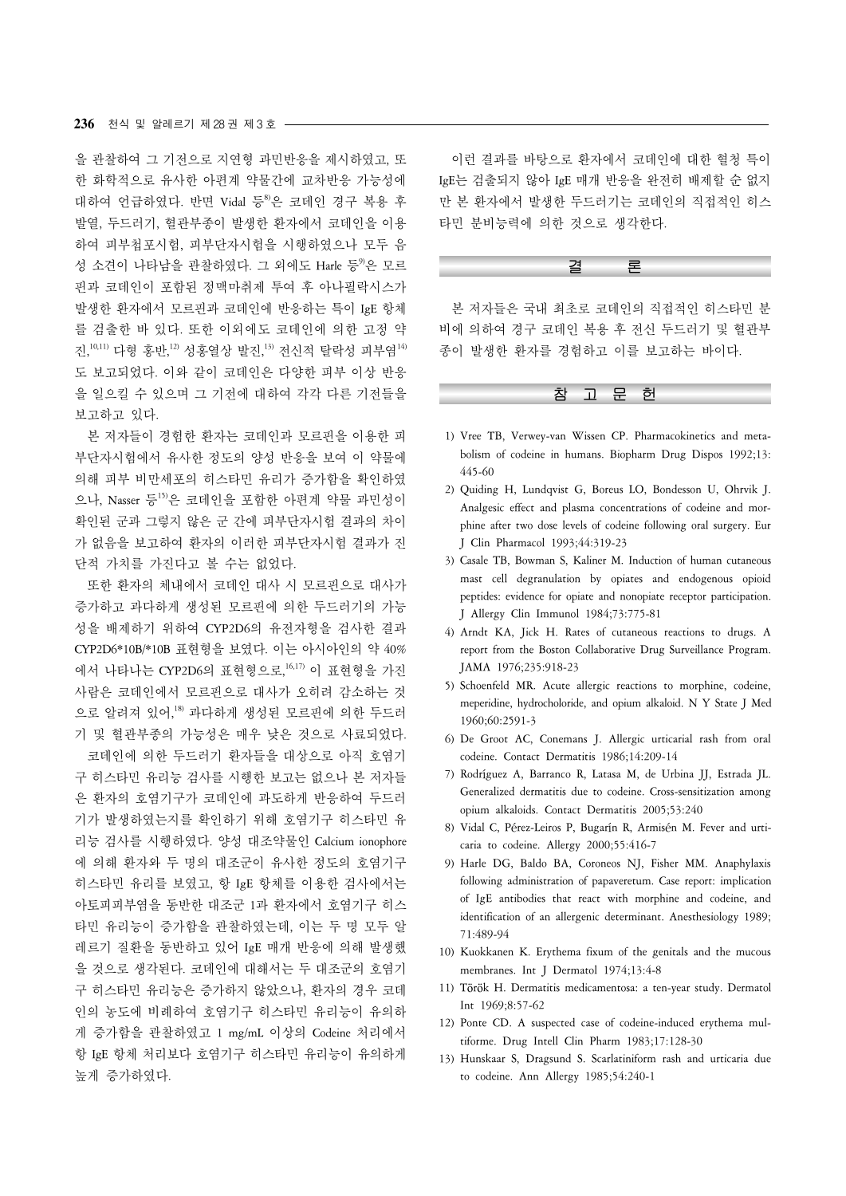을 관찰하여 그 기전으로 지연형 과민반응을 제시하였고, 또 한 화학적으로 유사한 아편계 약물간에 교차반응 가능성에 대하여 언급하였다. 반면 Vidal 등 $^{8}$ 은 코데인 경구 복용 후 발열, 두드러기, 혈관부종이 발생한 환자에서 코데인을 이용 하여 피부첩포시험, 피부단자시험을 시행하였으나 모두 음 성 소견이 나타남을 관찰하였다. 그 외에도 Harle 등 우 모르 핀과 코데인이 포함된 정맥마취제 투여 후 아나필락시스가 발생한 환자에서 모르핀과 코데인에 반응하는 특이 IgE 항체 를 검출한 바 있다. 또한 이외에도 코데인에 의한 고정 약 진, $^{\rm 10,11)}$  다형 홍반, $^{\rm 12}$  성홍열상 발진, $^{\rm 13}$  전신적 탈락성 피부염 $^{\rm 14)}$ 도 보고되었다. 이와 같이 코데인은 다양한 피부 이상 반응 을 일으킬 수 있으며 그 기전에 대하여 각각 다른 기전들을 보고하고 있다.

 본 저자들이 경험한 환자는 코데인과 모르핀을 이용한 피 부단자시험에서 유사한 정도의 양성 반응을 보여 이 약물에 의해 피부 비만세포의 히스타민 유리가 증가함을 확인하였 으나, Nasser 등<sup>15)</sup>은 코데인을 포함한 아편계 약물 과민성이 확인된 군과 그렇지 않은 군 간에 피부단자시험 결과의 차이 가 없음을 보고하여 환자의 이러한 피부단자시험 결과가 진 단적 가치를 가진다고 볼 수는 없었다.

 또한 환자의 체내에서 코데인 대사 시 모르핀으로 대사가 증가하고 과다하게 생성된 모르핀에 의한 두드러기의 가능 성을 배제하기 위하여 CYP2D6의 유전자형을 검사한 결과 CYP2D6\*10B/\*10B 표현형을 보였다. 이는 아시아인의 약 40% 에서 나타나는 CYP2D6의 표현형으로, 16,17) 이 표현형을 가진 사람은 코데인에서 모르핀으로 대사가 오히려 감소하는 것 으로 알려져 있어,<sup>18)</sup> 과다하게 생성된 모르핀에 의한 두드러 기 및 혈관부종의 가능성은 매우 낮은 것으로 사료되었다. 코데인에 의한 두드러기 환자들을 대상으로 아직 호염기 구 히스타민 유리능 검사를 시행한 보고는 없으나 본 저자들 은 환자의 호염기구가 코데인에 과도하게 반응하여 두드러 기가 발생하였는지를 확인하기 위해 호염기구 히스타민 유 리능 검사를 시행하였다. 양성 대조약물인 Calcium ionophore 에 의해 환자와 두 명의 대조군이 유사한 정도의 호염기구 히스타민 유리를 보였고, 항 IgE 항체를 이용한 검사에서는 아토피피부염을 동반한 대조군 1과 환자에서 호염기구 히스 타민 유리능이 증가함을 관찰하였는데, 이는 두 명 모두 알 레르기 질환을 동반하고 있어 IgE 매개 반응에 의해 발생했 을 것으로 생각된다. 코데인에 대해서는 두 대조군의 호염기 구 히스타민 유리능은 증가하지 않았으나, 환자의 경우 코데 인의 농도에 비례하여 호염기구 히스타민 유리능이 유의하 게 증가함을 관찰하였고 1 mg/mL 이상의 Codeine 처리에서 항 IgE 항체 처리보다 호염기구 히스타민 유리능이 유의하게 높게 증가하였다.

 이런 결과를 바탕으로 환자에서 코데인에 대한 혈청 특이 IgE는 검출되지 않아 IgE 매개 반응을 완전히 배제할 순 없지 만 본 환자에서 발생한 두드러기는 코데인의 직접적인 히스 타민 분비능력에 의한 것으로 생각한다.

#### 결 론

 본 저자들은 국내 최초로 코데인의 직접적인 히스타민 분 비에 의하여 경구 코데인 복용 후 전신 두드러기 및 혈관부 종이 발생한 환자를 경험하고 이를 보고하는 바이다.



- 1) Vree TB, Verwey-van Wissen CP. Pharmacokinetics and metabolism of codeine in humans. Biopharm Drug Dispos 1992;13: 445-60
- 2) Quiding H, Lundqvist G, Boreus LO, Bondesson U, Ohrvik J. Analgesic effect and plasma concentrations of codeine and morphine after two dose levels of codeine following oral surgery. Eur J Clin Pharmacol 1993;44:319-23
- 3) Casale TB, Bowman S, Kaliner M. Induction of human cutaneous mast cell degranulation by opiates and endogenous opioid peptides: evidence for opiate and nonopiate receptor participation. J Allergy Clin Immunol 1984;73:775-81
- 4) Arndt KA, Jick H. Rates of cutaneous reactions to drugs. A report from the Boston Collaborative Drug Surveillance Program. JAMA 1976;235:918-23
- 5) Schoenfeld MR. Acute allergic reactions to morphine, codeine, meperidine, hydrocholoride, and opium alkaloid. N Y State J Med 1960;60:2591-3
- 6) De Groot AC, Conemans J. Allergic urticarial rash from oral codeine. Contact Dermatitis 1986;14:209-14
- 7) Rodríguez A, Barranco R, Latasa M, de Urbina JJ, Estrada JL. Generalized dermatitis due to codeine. Cross-sensitization among opium alkaloids. Contact Dermatitis 2005;53:240
- 8) Vidal C, Pérez-Leiros P, Bugarín R, Armisén M. Fever and urticaria to codeine. Allergy 2000;55:416-7
- 9) Harle DG, Baldo BA, Coroneos NJ, Fisher MM. Anaphylaxis following administration of papaveretum. Case report: implication of IgE antibodies that react with morphine and codeine, and identification of an allergenic determinant. Anesthesiology 1989; 71:489-94
- 10) Kuokkanen K. Erythema fixum of the genitals and the mucous membranes. Int J Dermatol 1974;13:4-8
- 11) Tӧrӧk H. Dermatitis medicamentosa: a ten-year study. Dermatol Int 1969;8:57-62
- 12) Ponte CD. A suspected case of codeine-induced erythema multiforme. Drug Intell Clin Pharm 1983;17:128-30
- 13) Hunskaar S, Dragsund S. Scarlatiniform rash and urticaria due to codeine. Ann Allergy 1985;54:240-1